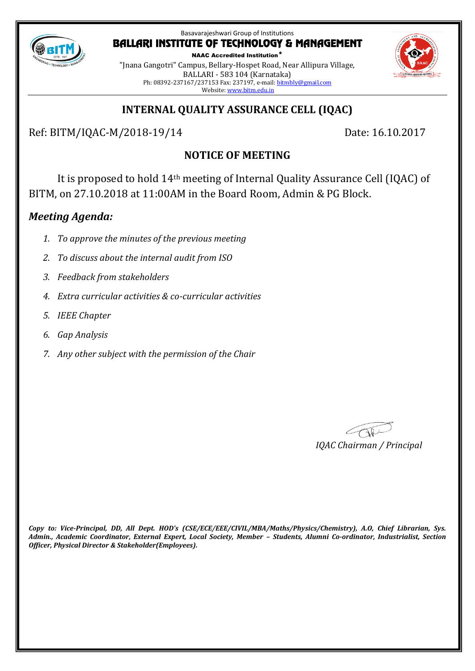

NAAC Accredited Institution\* "Jnana Gangotri" Campus, Bellary-Hospet Road, Near Allipura Village, BALLARI - 583 104 (Karnataka) Ph: 08392-237167/237153 Fax: 237197, e-mail[: bitmbly@gmail.com](mailto:bitmbly@gmail.com) Website[: www.bitm.edu.in](http://www.bec-bellary.com/)



# **INTERNAL QUALITY ASSURANCE CELL (IQAC)**

Ref: BITM/IQAC-M/2018-19/14 Date: 16.10.2017

# **NOTICE OF MEETING**

It is proposed to hold 14th meeting of Internal Quality Assurance Cell (IQAC) of BITM, on 27.10.2018 at 11:00AM in the Board Room, Admin & PG Block.

# *Meeting Agenda:*

- *1. To approve the minutes of the previous meeting*
- *2. To discuss about the internal audit from ISO*
- *3. Feedback from stakeholders*
- *4. Extra curricular activities & co-curricular activities*
- *5. IEEE Chapter*
- *6. Gap Analysis*
- *7. Any other subject with the permission of the Chair*

*IQAC Chairman / Principal*

*Copy to: Vice-Principal, DD, All Dept. HOD's (CSE/ECE/EEE/CIVIL/MBA/Maths/Physics/Chemistry), A.O, Chief Librarian, Sys. Admin., Academic Coordinator, External Expert, Local Society, Member – Students, Alumni Co-ordinator, Industrialist, Section Officer, Physical Director & Stakeholder(Employees).*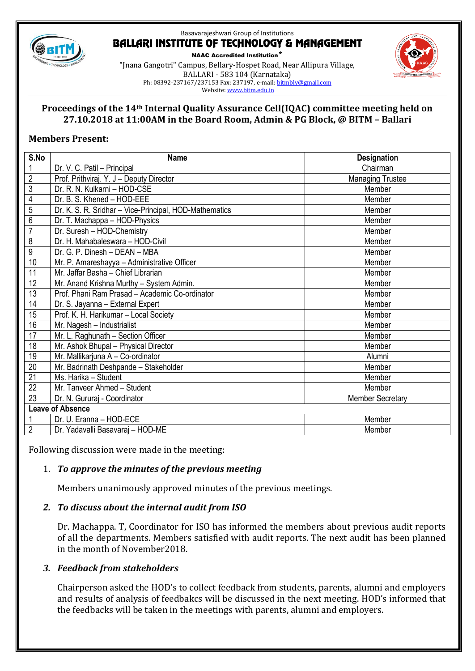

NAAC Accredited Institution\* "Jnana Gangotri" Campus, Bellary-Hospet Road, Near Allipura Village, BALLARI - 583 104 (Karnataka) Ph: 08392-237167/237153 Fax: 237197, e-mail[: bitmbly@gmail.com](mailto:bitmbly@gmail.com)



#### **Proceedings of the 14th Internal Quality Assurance Cell(IQAC) committee meeting held on 27.10.2018 at 11:00AM in the Board Room, Admin & PG Block, @ BITM – Ballari**

## **Members Present:**

| S.No                    | <b>Name</b>                                            | <b>Designation</b>      |
|-------------------------|--------------------------------------------------------|-------------------------|
| 1                       | Dr. V. C. Patil - Principal                            | Chairman                |
| $\overline{2}$          | Prof. Prithviraj. Y. J - Deputy Director               | <b>Managing Trustee</b> |
| $\overline{3}$          | Dr. R. N. Kulkarni - HOD-CSE                           | Member                  |
| 4                       | Dr. B. S. Khened - HOD-EEE                             | Member                  |
| 5                       | Dr. K. S. R. Sridhar - Vice-Principal, HOD-Mathematics | Member                  |
| $\overline{6}$          | Dr. T. Machappa - HOD-Physics                          | Member                  |
| $\overline{7}$          | Dr. Suresh - HOD-Chemistry                             | Member                  |
| 8                       | Dr. H. Mahabaleswara - HOD-Civil                       | Member                  |
| 9                       | Dr. G. P. Dinesh - DEAN - MBA                          | Member                  |
| 10                      | Mr. P. Amareshayya - Administrative Officer            | Member                  |
| 11                      | Mr. Jaffar Basha - Chief Librarian                     | Member                  |
| 12                      | Mr. Anand Krishna Murthy - System Admin.               | Member                  |
| $\overline{13}$         | Prof. Phani Ram Prasad - Academic Co-ordinator         | Member                  |
| 14                      | Dr. S. Jayanna - External Expert                       | Member                  |
| $\overline{15}$         | Prof. K. H. Harikumar - Local Society                  | Member                  |
| 16                      | Mr. Nagesh - Industrialist                             | Member                  |
| 17                      | Mr. L. Raghunath - Section Officer                     | Member                  |
| 18                      | Mr. Ashok Bhupal - Physical Director                   | Member                  |
| $\overline{19}$         | Mr. Mallikarjuna A - Co-ordinator                      | Alumni                  |
| 20                      | Mr. Badrinath Deshpande - Stakeholder                  | Member                  |
| 21                      | Ms. Harika - Student                                   | Member                  |
| 22                      | Mr. Tanveer Ahmed - Student                            | Member                  |
| 23                      | Dr. N. Gururaj - Coordinator                           | <b>Member Secretary</b> |
| <b>Leave of Absence</b> |                                                        |                         |
|                         | Dr. U. Eranna - HOD-ECE                                | Member                  |
| $\overline{2}$          | Dr. Yadavalli Basavaraj - HOD-ME                       | Member                  |

Following discussion were made in the meeting:

# 1. *To approve the minutes of the previous meeting*

Members unanimously approved minutes of the previous meetings.

#### *2. To discuss about the internal audit from ISO*

Dr. Machappa. T, Coordinator for ISO has informed the members about previous audit reports of all the departments. Members satisfied with audit reports. The next audit has been planned in the month of November2018.

# *3. Feedback from stakeholders*

Chairperson asked the HOD's to collect feedback from students, parents, alumni and employers and results of analysis of feedbakcs will be discussed in the next meeting. HOD's informed that the feedbacks will be taken in the meetings with parents, alumni and employers.

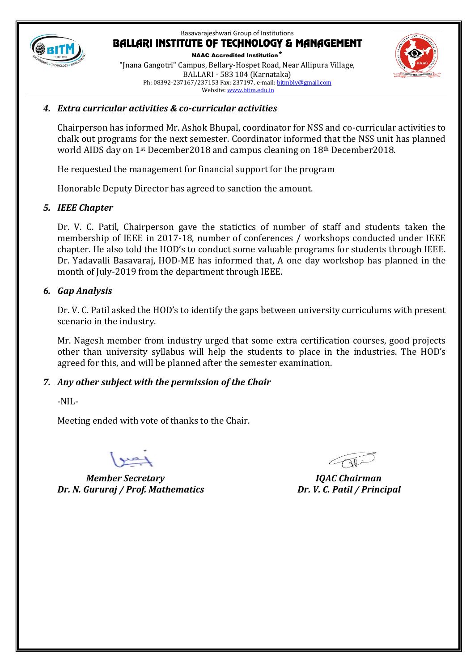

NAAC Accredited Institution\* "Jnana Gangotri" Campus, Bellary-Hospet Road, Near Allipura Village, BALLARI - 583 104 (Karnataka) Ph: 08392-237167/237153 Fax: 237197, e-mail[: bitmbly@gmail.com](mailto:bitmbly@gmail.com) Website[: www.bitm.edu.in](http://www.bec-bellary.com/)



#### *4. Extra curricular activities & co-curricular activities*

Chairperson has informed Mr. Ashok Bhupal, coordinator for NSS and co-curricular activities to chalk out programs for the next semester. Coordinator informed that the NSS unit has planned world AIDS day on 1st December2018 and campus cleaning on 18th December2018.

He requested the management for financial support for the program

Honorable Deputy Director has agreed to sanction the amount.

## *5. IEEE Chapter*

Dr. V. C. Patil, Chairperson gave the statictics of number of staff and students taken the membership of IEEE in 2017-18, number of conferences / workshops conducted under IEEE chapter. He also told the HOD's to conduct some valuable programs for students through IEEE. Dr. Yadavalli Basavaraj, HOD-ME has informed that, A one day workshop has planned in the month of July-2019 from the department through IEEE.

# *6. Gap Analysis*

Dr. V. C. Patil asked the HOD's to identify the gaps between university curriculums with present scenario in the industry.

Mr. Nagesh member from industry urged that some extra certification courses, good projects other than university syllabus will help the students to place in the industries. The HOD's agreed for this, and will be planned after the semester examination.

# *7. Any other subject with the permission of the Chair*

-NIL-

Meeting ended with vote of thanks to the Chair.

*Member Secretary IQAC Chairman Dr. N. Gururaj / Prof. Mathematics Dr. V. C. Patil / Principal*